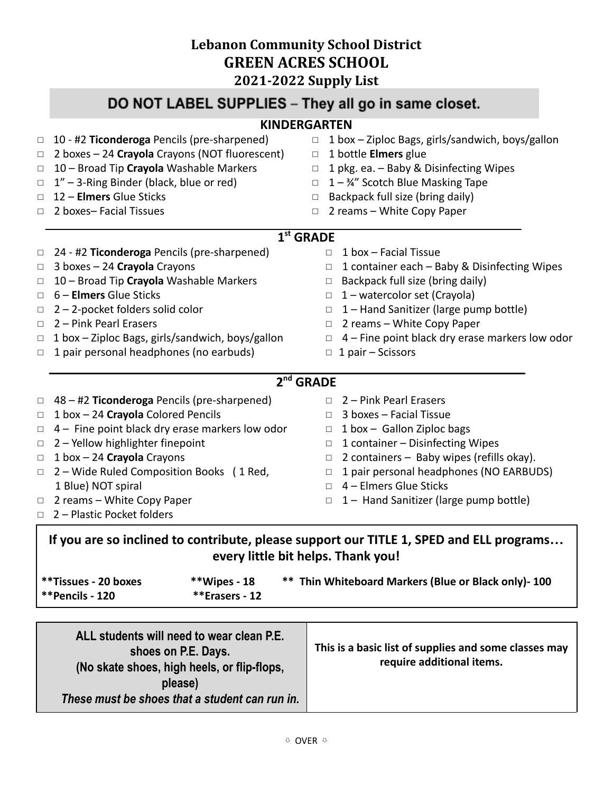# **Lebanon Community School District GREEN ACRES SCHOOL 2021-2022 Supply List**

|                                                                              | DO NOT LABEL SUPPLIES – They all go in same closet.                                                                                                                                                                                                                                                                                  |                                                                                                                                                                                                                                                                                                                                                                           |
|------------------------------------------------------------------------------|--------------------------------------------------------------------------------------------------------------------------------------------------------------------------------------------------------------------------------------------------------------------------------------------------------------------------------------|---------------------------------------------------------------------------------------------------------------------------------------------------------------------------------------------------------------------------------------------------------------------------------------------------------------------------------------------------------------------------|
|                                                                              |                                                                                                                                                                                                                                                                                                                                      | <b>KINDERGARTEN</b>                                                                                                                                                                                                                                                                                                                                                       |
| $\Box$<br>$\Box$<br>$\Box$<br>$\Box$<br>$\Box$<br>$\Box$                     | 10 - #2 Ticonderoga Pencils (pre-sharpened)<br>2 boxes - 24 Crayola Crayons (NOT fluorescent)<br>10 - Broad Tip Crayola Washable Markers<br>1" - 3-Ring Binder (black, blue or red)<br>12 - Elmers Glue Sticks<br>2 boxes-Facial Tissues                                                                                             | 1 box - Ziploc Bags, girls/sandwich, boys/gallon<br>$\Box$<br>1 bottle Elmers glue<br>$\Box$<br>1 pkg. ea. - Baby & Disinfecting Wipes<br>$\Box$<br>$1 - \frac{3}{4}$ " Scotch Blue Masking Tape<br>$\Box$<br>Backpack full size (bring daily)<br>$\Box$<br>2 reams - White Copy Paper<br>$\Box$                                                                          |
|                                                                              |                                                                                                                                                                                                                                                                                                                                      | $1st$ GRADE                                                                                                                                                                                                                                                                                                                                                               |
| $\Box$<br>$\Box$<br>$\Box$<br>$\Box$<br>$\Box$<br>$\Box$<br>$\Box$<br>$\Box$ | 24 - #2 Ticonderoga Pencils (pre-sharpened)<br>3 boxes - 24 Crayola Crayons<br>10 - Broad Tip Crayola Washable Markers<br>6 - Elmers Glue Sticks<br>2 - 2-pocket folders solid color<br>2 - Pink Pearl Erasers<br>1 box - Ziploc Bags, girls/sandwich, boys/gallon<br>1 pair personal headphones (no earbuds)                        | 1 box - Facial Tissue<br>$\Box$<br>1 container each - Baby & Disinfecting Wipes<br>$\Box$<br>Backpack full size (bring daily)<br>$\Box$<br>1 - watercolor set (Crayola)<br>$\Box$<br>1 - Hand Sanitizer (large pump bottle)<br>$\Box$<br>2 reams - White Copy Paper<br>$\Box$<br>4 – Fine point black dry erase markers low odor<br>$\Box$<br>1 pair - Scissors<br>$\Box$ |
|                                                                              |                                                                                                                                                                                                                                                                                                                                      | 2 <sup>nd</sup> GRADE                                                                                                                                                                                                                                                                                                                                                     |
| $\Box$<br>$\Box$<br>$\Box$<br>$\Box$<br>$\Box$<br>$\Box$<br>$\Box$<br>$\Box$ | 48 - #2 Ticonderoga Pencils (pre-sharpened)<br>1 box - 24 Crayola Colored Pencils<br>4 - Fine point black dry erase markers low odor<br>2 - Yellow highlighter finepoint<br>1 box - 24 Crayola Crayons<br>2 – Wide Ruled Composition Books (1 Red,<br>1 Blue) NOT spiral<br>2 reams - White Copy Paper<br>2 - Plastic Pocket folders | 2 - Pink Pearl Erasers<br>п<br>3 boxes - Facial Tissue<br>$\Box$<br>1 box - Gallon Ziploc bags<br>$\Box$<br>1 container - Disinfecting Wipes<br>$\Box$<br>2 containers - Baby wipes (refills okay).<br>$\Box$<br>1 pair personal headphones (NO EARBUDS)<br>□<br>4 - Elmers Glue Sticks<br>$\Box$<br>1 - Hand Sanitizer (large pump bottle)<br>$\Box$                     |
|                                                                              |                                                                                                                                                                                                                                                                                                                                      | If you are so inclined to contribute, please support our TITLE 1, SPED and ELL programs<br>every little bit helps. Thank you!                                                                                                                                                                                                                                             |
|                                                                              | **Tissues - 20 boxes<br>**Wipes - 18<br>**Pencils - 120<br>**Erasers - 12                                                                                                                                                                                                                                                            | ** Thin Whiteboard Markers (Blue or Black only)- 100                                                                                                                                                                                                                                                                                                                      |
|                                                                              | ALL students will need to wear clean P.E.<br>shoes on P.E. Days.<br>(No skate shoes, high heels, or flip-flops,<br>please)<br>These must be shoes that a student can run in.                                                                                                                                                         | This is a basic list of supplies and some classes may<br>require additional items.                                                                                                                                                                                                                                                                                        |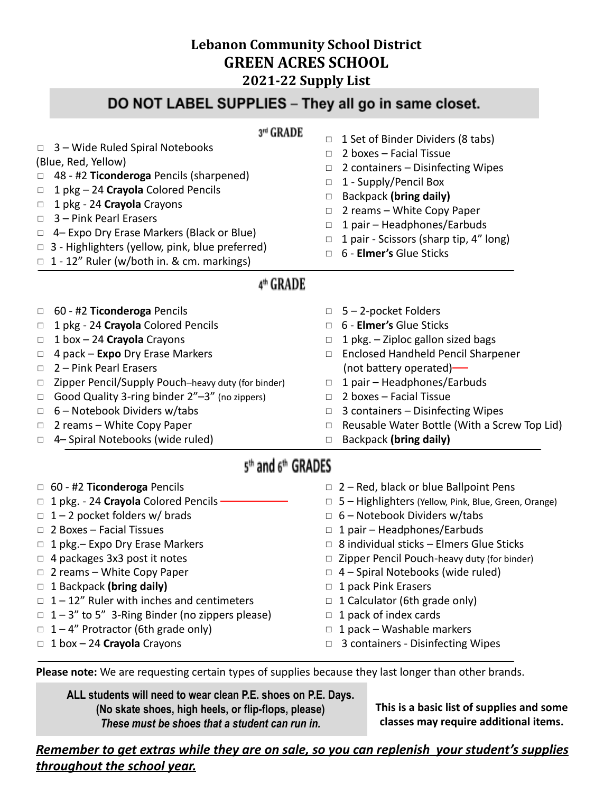# **Lebanon Community School District GREEN ACRES SCHOOL 2021-22 Supply List**

# DO NOT LABEL SUPPLIES - They all go in same closet.

### 3rd GRADE

- ◻ 1 Set of Binder Dividers (8 tabs) ◻ 3 – Wide Ruled Spiral Notebooks ◻ 2 boxes – Facial Tissue (Blue, Red, Yellow) ◻ 2 containers – Disinfecting Wipes ◻ 48 - #2 **Ticonderoga** Pencils (sharpened) ◻ 1 - Supply/Pencil Box ◻ 1 pkg – 24 **Crayola** Colored Pencils ◻ Backpack **(bring daily)** ◻ 1 pkg - 24 **Crayola** Crayons ◻ 2 reams – White Copy Paper ◻ 3 – Pink Pearl Erasers ◻ 1 pair – Headphones/Earbuds ◻ 4– Expo Dry Erase Markers (Black or Blue) ◻ 1 pair - Scissors (sharp tip, 4" long) ◻ 3 - Highlighters (yellow, pink, blue preferred) ◻ 6 - **Elmer's** Glue Sticks  $\Box$  1 - 12" Ruler (w/both in. & cm. markings) 4<sup>th</sup> GRADE ◻ 60 - #2 **Ticonderoga** Pencils ◻ 5 – 2-pocket Folders ◻ 1 pkg - 24 **Crayola** Colored Pencils ◻ 6 - **Elmer's** Glue Sticks ◻ 1 box – 24 **Crayola** Crayons  $\Box$  1 pkg. – Ziploc gallon sized bags ◻ Enclosed Handheld Pencil Sharpener ◻ 4 pack – **Expo** Dry Erase Markers ◻ 2 – Pink Pearl Erasers (not battery operated) ◻ Zipper Pencil/Supply Pouch–heavy duty (for binder) ◻ 1 pair – Headphones/Earbuds ◻ Good Quality 3-ring binder 2"–3" (no zippers) ◻ 2 boxes – Facial Tissue ◻ 6 – Notebook Dividers w/tabs ◻ 3 containers – Disinfecting Wipes ◻ 2 reams – White Copy Paper ◻ Reusable Water Bottle (With a Screw Top Lid) ◻ 4– Spiral Notebooks (wide ruled) ◻ Backpack **(bring daily)** 5th and 6th GRADES ◻ 60 - #2 **Ticonderoga** Pencils ◻ 2 – Red, black or blue Ballpoint Pens ◻ 1 pkg. - 24 **Crayola** Colored Pencils ◻ 5 – Highlighters (Yellow, Pink, Blue, Green, Orange)  $\Box$  1 – 2 pocket folders w/ brads  $\Box$  6 – Notebook Dividers w/tabs ◻ 2 Boxes – Facial Tissues ◻ 1 pair – Headphones/Earbuds
	-
- 
- 
- ◻ 1 Backpack **(bring daily)** ◻ 1 pack Pink Erasers
- $\Box$  1 12" Ruler with inches and centimeters  $\Box$  1 Calculator (6th grade only)
- $\Box$  1 3" to 5" 3-Ring Binder (no zippers please)  $\Box$  1 pack of index cards
- $\Box$  1 4" Protractor (6th grade only)  $\Box$  1 pack Washable markers
- 
- 
- 
- □ 1 pkg.– Expo Dry Erase Markers  $□$  8 individual sticks Elmers Glue Sticks
- ◻ 4 packages 3x3 post it notes ◻ Zipper Pencil Pouch-heavy duty (for binder)
- ◻ 2 reams White Copy Paper ◻ 4 Spiral Notebooks (wide ruled)
	-
	-
	-
	-
- ◻ 1 box 24 **Crayola** Crayons ◻ 3 containers Disinfecting Wipes

**Please note:** We are requesting certain types of supplies because they last longer than other brands.

**ALL students will need to wear clean P.E. shoes on P.E. Days. (No skate shoes, high heels, or flip-flops, please)** *These must be shoes that a student can run in.*

**This is a basic list of supplies and some classes may require additional items.**

*Remember to get extras while they are on sale, so you can replenish your student's supplies throughout the school year.*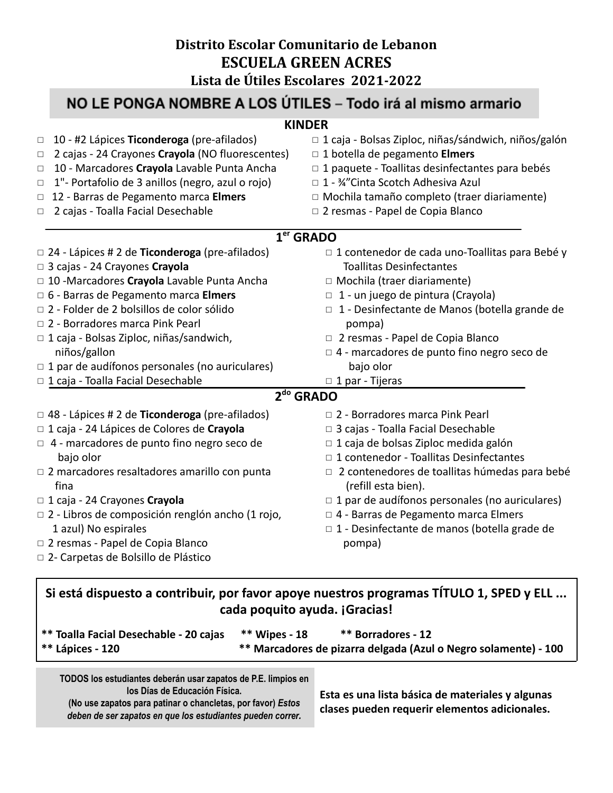# **Distrito Escolar Comunitario de Lebanon ESCUELA GREEN ACRES**

# **Lista de Útiles Escolares 2021-2022**

# NO LE PONGA NOMBRE A LOS ÚTILES - Todo irá al mismo armario

### **KINDER**

◻ 10 - #2 Lápices **Ticonderoga** (pre-afilados) ◻ 2 cajas - 24 Crayones **Crayola** (NO fluorescentes) ◻ 10 - Marcadores **Crayola** Lavable Punta Ancha ◻ 1"- Portafolio de 3 anillos (negro, azul o rojo) ◻ 12 - Barras de Pegamento marca **Elmers** ◻ 2 cajas - Toalla Facial Desechable ◻ 1 caja - Bolsas Ziploc, niñas/sándwich, niños/galón ◻ 1 botella de pegamento **Elmers** ◻ 1 paquete - Toallitas desinfectantes para bebés ◻ 1 - ¾"Cinta Scotch Adhesiva Azul ◻ Mochila tamaño completo (traer diariamente) ◻ 2 resmas - Papel de Copia Blanco **1 er GRADO** ◻ 24 - Lápices # 2 de **Ticonderoga** (pre-afilados) ◻ 3 cajas - 24 Crayones **Crayola** ◻ 10 -Marcadores **Crayola** Lavable Punta Ancha ◻ 6 - Barras de Pegamento marca **Elmers** ◻ 2 - Folder de 2 bolsillos de color sólido ◻ 2 - Borradores marca Pink Pearl ◻ 1 caja - Bolsas Ziploc, niñas/sandwich, niños/gallon  $\Box$  1 par de audífonos personales (no auriculares) ◻ 1 caja - Toalla Facial Desechable  $\Box$  1 contenedor de cada uno-Toallitas para Bebé y Toallitas Desinfectantes ◻ Mochila (traer diariamente) ◻ 1 - un juego de pintura (Crayola) ◻ 1 - Desinfectante de Manos (botella grande de pompa) ◻ 2 resmas - Papel de Copia Blanco ◻ 4 - marcadores de punto fino negro seco de bajo olor ◻ 1 par - Tijeras **2 do GRADO** ◻ 48 - Lápices # 2 de **Ticonderoga** (pre-afilados) ◻ 1 caja - 24 Lápices de Colores de **Crayola** ◻ 4 - marcadores de punto fino negro seco de bajo olor ◻ 2 marcadores resaltadores amarillo con punta fina ◻ 1 caja - 24 Crayones **Crayola** ◻ 2 - Libros de composición renglón ancho (1 rojo, 1 azul) No espirales ◻ 2 resmas - Papel de Copia Blanco ◻ 2 - Borradores marca Pink Pearl ◻ 3 cajas - Toalla Facial Desechable  $\Box$  1 caja de bolsas Ziploc medida galón ◻ 1 contenedor - Toallitas Desinfectantes ◻ 2 contenedores de toallitas húmedas para bebé (refill esta bien).  $\Box$  1 par de audífonos personales (no auriculares) ◻ 4 - Barras de Pegamento marca Elmers ◻ 1 - Desinfectante de manos (botella grade de pompa) ◻ 2- Carpetas de Bolsillo de Plástico

# **Si está dispuesto a contribuir, por favor apoye nuestros programas TÍTULO 1, SPED y ELL ... cada poquito ayuda. ¡Gracias!**

| ** Toalla Facial Desechable - 20 cajas | ** Wipes - $18$ | <b>** Borradores - 12</b>                                       |  |
|----------------------------------------|-----------------|-----------------------------------------------------------------|--|
| ** Lápices - 120                       |                 | ** Marcadores de pizarra delgada (Azul o Negro solamente) - 100 |  |

**TODOS los estudiantes deberán usar zapatos de P.E. limpios en los Días de Educación Física. (No use zapatos para patinar o chancletas, por favor)** *Estos*

*deben de ser zapatos en que los estudiantes pueden correr.*

**Esta es una lista básica de materiales y algunas clases pueden requerir elementos adicionales.**